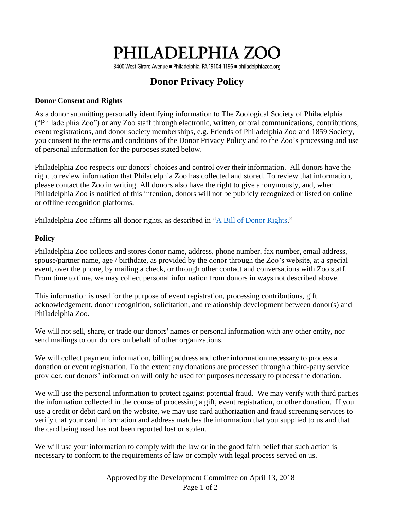# PHILADELPHIA ZOO

3400 West Girard Avenue ■ Philadelphia, PA 19104-1196 ■ philadelphiazoo.org

## **Donor Privacy Policy**

#### **Donor Consent and Rights**

As a donor submitting personally identifying information to The Zoological Society of Philadelphia ("Philadelphia Zoo") or any Zoo staff through electronic, written, or oral communications, contributions, event registrations, and donor society memberships, e.g. Friends of Philadelphia Zoo and 1859 Society, you consent to the terms and conditions of the Donor Privacy Policy and to the Zoo's processing and use of personal information for the purposes stated below.

Philadelphia Zoo respects our donors' choices and control over their information. All donors have the right to review information that Philadelphia Zoo has collected and stored. To review that information, please contact the Zoo in writing. All donors also have the right to give anonymously, and, when Philadelphia Zoo is notified of this intention, donors will not be publicly recognized or listed on online or offline recognition platforms.

Philadelphia Zoo affirms all donor rights, as described in ["A Bill of Donor Rights.](http://www.afpnet.org/Ethics/EnforcementDetail.cfm?ItemNumber=3359)"

#### **Policy**

Philadelphia Zoo collects and stores donor name, address, phone number, fax number, email address, spouse/partner name, age / birthdate, as provided by the donor through the Zoo's website, at a special event, over the phone, by mailing a check, or through other contact and conversations with Zoo staff. From time to time, we may collect personal information from donors in ways not described above.

This information is used for the purpose of event registration, processing contributions, gift acknowledgement, donor recognition, solicitation, and relationship development between donor(s) and Philadelphia Zoo.

We will not sell, share, or trade our donors' names or personal information with any other entity, nor send mailings to our donors on behalf of other organizations.

We will collect payment information, billing address and other information necessary to process a donation or event registration. To the extent any donations are processed through a third-party service provider, our donors' information will only be used for purposes necessary to process the donation.

We will use the personal information to protect against potential fraud. We may verify with third parties the information collected in the course of processing a gift, event registration, or other donation. If you use a credit or debit card on the website, we may use card authorization and fraud screening services to verify that your card information and address matches the information that you supplied to us and that the card being used has not been reported lost or stolen.

We will use your information to comply with the law or in the good faith belief that such action is necessary to conform to the requirements of law or comply with legal process served on us.